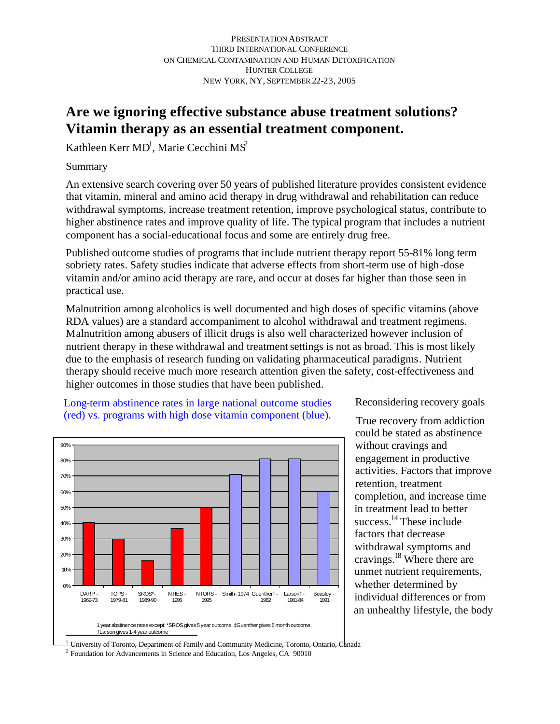## **Are we ignoring effective substance abuse treatment solutions? Vitamin therapy as an essential treatment component.**

Kathleen Kerr MD<sup>1</sup>, Marie Cecchini MS<sup>2</sup>

Summary

An extensive search covering over 50 years of published literature provides consistent evidence that vitamin, mineral and amino acid therapy in drug withdrawal and rehabilitation can reduce withdrawal symptoms, increase treatment retention, improve psychological status, contribute to higher abstinence rates and improve quality of life. The typical program that includes a nutrient component has a social-educational focus and some are entirely drug free.

Published outcome studies of programs that include nutrient therapy report 55-81% long term sobriety rates. Safety studies indicate that adverse effects from short-term use of high-dose vitamin and/or amino acid therapy are rare, and occur at doses far higher than those seen in practical use.

Malnutrition among alcoholics is well documented and high doses of specific vitamins (above RDA values) are a standard accompaniment to alcohol withdrawal and treatment regimens. Malnutrition among abusers of illicit drugs is also well characterized however inclusion of nutrient therapy in these withdrawal and treatment settings is not as broad. This is most likely due to the emphasis of research funding on validating pharmaceutical paradigms. Nutrient therapy should receive much more research attention given the safety, cost-effectiveness and higher outcomes in those studies that have been published.

Long-term abstinence rates in large national outcome studies (red) vs. programs with high dose vitamin component (blue).



Reconsidering recovery goals

True recovery from addiction could be stated as abstinence without cravings and engagement in productive activities. Factors that improve retention, treatment completion, and increase time in treatment lead to better success. $^{14}$  These include factors that decrease withdrawal symptoms and cravings.<sup>18</sup> Where there are unmet nutrient requirements, whether determined by individual differences or from an unhealthy lifestyle, the body

1 o<del>ronto, Department of Family and Community Medicine, Toronto, Ontario, C</del>anada

<sup>2</sup> Foundation for Advancements in Science and Education, Los Angeles, CA 90010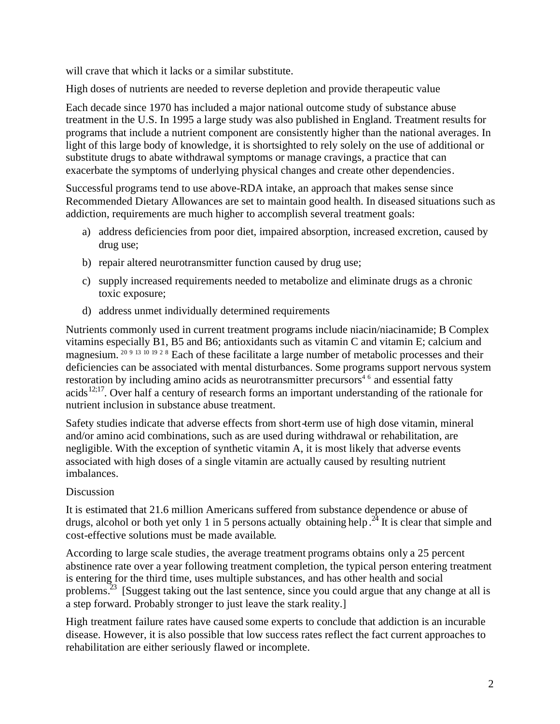will crave that which it lacks or a similar substitute.

High doses of nutrients are needed to reverse depletion and provide therapeutic value

Each decade since 1970 has included a major national outcome study of substance abuse treatment in the U.S. In 1995 a large study was also published in England. Treatment results for programs that include a nutrient component are consistently higher than the national averages. In light of this large body of knowledge, it is shortsighted to rely solely on the use of additional or substitute drugs to abate withdrawal symptoms or manage cravings, a practice that can exacerbate the symptoms of underlying physical changes and create other dependencies.

Successful programs tend to use above-RDA intake, an approach that makes sense since Recommended Dietary Allowances are set to maintain good health. In diseased situations such as addiction, requirements are much higher to accomplish several treatment goals:

- a) address deficiencies from poor diet, impaired absorption, increased excretion, caused by drug use;
- b) repair altered neurotransmitter function caused by drug use;
- c) supply increased requirements needed to metabolize and eliminate drugs as a chronic toxic exposure;
- d) address unmet individually determined requirements

Nutrients commonly used in current treatment programs include niacin/niacinamide; B Complex vitamins especially B1, B5 and B6; antioxidants such as vitamin C and vitamin E; calcium and magnesium. 20 9 13 10 19 2 8 Each of these facilitate a large number of metabolic processes and their deficiencies can be associated with mental disturbances. Some programs support nervous system restoration by including amino acids as neurotransmitter precursors<sup>46</sup> and essential fatty acids<sup>12;17</sup>. Over half a century of research forms an important understanding of the rationale for nutrient inclusion in substance abuse treatment.

Safety studies indicate that adverse effects from short-term use of high dose vitamin, mineral and/or amino acid combinations, such as are used during withdrawal or rehabilitation, are negligible. With the exception of synthetic vitamin A, it is most likely that adverse events associated with high doses of a single vitamin are actually caused by resulting nutrient imbalances.

## Discussion

It is estimated that 21.6 million Americans suffered from substance dependence or abuse of drugs, alcohol or both yet only 1 in 5 persons actually obtaining help.<sup>24</sup> It is clear that simple and cost-effective solutions must be made available.

According to large scale studies, the average treatment programs obtains only a 25 percent abstinence rate over a year following treatment completion, the typical person entering treatment is entering for the third time, uses multiple substances, and has other health and social problems.<sup>23</sup> [Suggest taking out the last sentence, since you could argue that any change at all is a step forward. Probably stronger to just leave the stark reality.]

High treatment failure rates have caused some experts to conclude that addiction is an incurable disease. However, it is also possible that low success rates reflect the fact current approaches to rehabilitation are either seriously flawed or incomplete.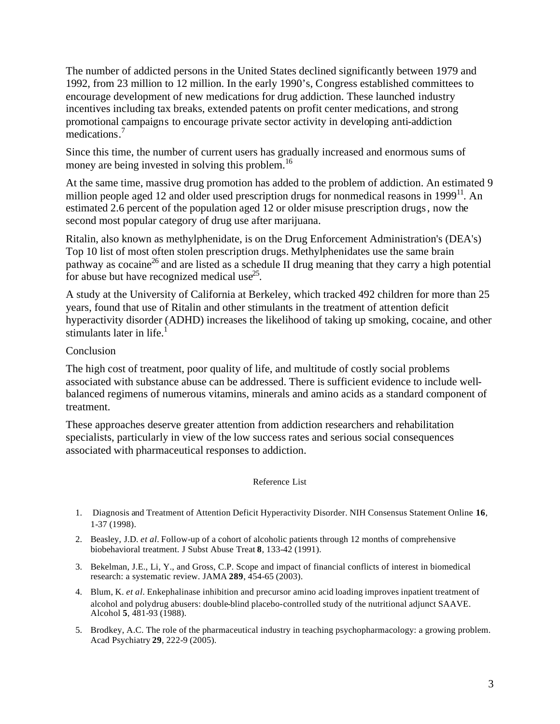The number of addicted persons in the United States declined significantly between 1979 and 1992, from 23 million to 12 million. In the early 1990's, Congress established committees to encourage development of new medications for drug addiction. These launched industry incentives including tax breaks, extended patents on profit center medications, and strong promotional campaigns to encourage private sector activity in developing anti-addiction medications.<sup>7</sup>

Since this time, the number of current users has gradually increased and enormous sums of money are being invested in solving this problem.<sup>16</sup>

At the same time, massive drug promotion has added to the problem of addiction. An estimated 9 million people aged 12 and older used prescription drugs for nonmedical reasons in  $1999<sup>11</sup>$ . An estimated 2.6 percent of the population aged 12 or older misuse prescription drugs, now the second most popular category of drug use after marijuana.

Ritalin, also known as methylphenidate, is on the Drug Enforcement Administration's (DEA's) Top 10 list of most often stolen prescription drugs. Methylphenidates use the same brain pathway as cocaine<sup>26</sup> and are listed as a schedule II drug meaning that they carry a high potential for abuse but have recognized medical use<sup>25</sup>.

A study at the University of California at Berkeley, which tracked 492 children for more than 25 years, found that use of Ritalin and other stimulants in the treatment of attention deficit hyperactivity disorder (ADHD) increases the likelihood of taking up smoking, cocaine, and other stimulants later in life. $<sup>1</sup>$ </sup>

## Conclusion

The high cost of treatment, poor quality of life, and multitude of costly social problems associated with substance abuse can be addressed. There is sufficient evidence to include wellbalanced regimens of numerous vitamins, minerals and amino acids as a standard component of treatment.

These approaches deserve greater attention from addiction researchers and rehabilitation specialists, particularly in view of the low success rates and serious social consequences associated with pharmaceutical responses to addiction.

## Reference List

- 1. Diagnosis and Treatment of Attention Deficit Hyperactivity Disorder. NIH Consensus Statement Online **16**, 1-37 (1998).
- 2. Beasley, J.D. *et al.* Follow-up of a cohort of alcoholic patients through 12 months of comprehensive biobehavioral treatment. J Subst Abuse Treat **8**, 133-42 (1991).
- 3. Bekelman, J.E., Li, Y., and Gross, C.P. Scope and impact of financial conflicts of interest in biomedical research: a systematic review. JAMA **289**, 454-65 (2003).
- 4. Blum, K. *et al.* Enkephalinase inhibition and precursor amino acid loading improves inpatient treatment of alcohol and polydrug abusers: double-blind placebo-controlled study of the nutritional adjunct SAAVE. Alcohol **5**, 481-93 (1988).
- 5. Brodkey, A.C. The role of the pharmaceutical industry in teaching psychopharmacology: a growing problem. Acad Psychiatry **29**, 222-9 (2005).